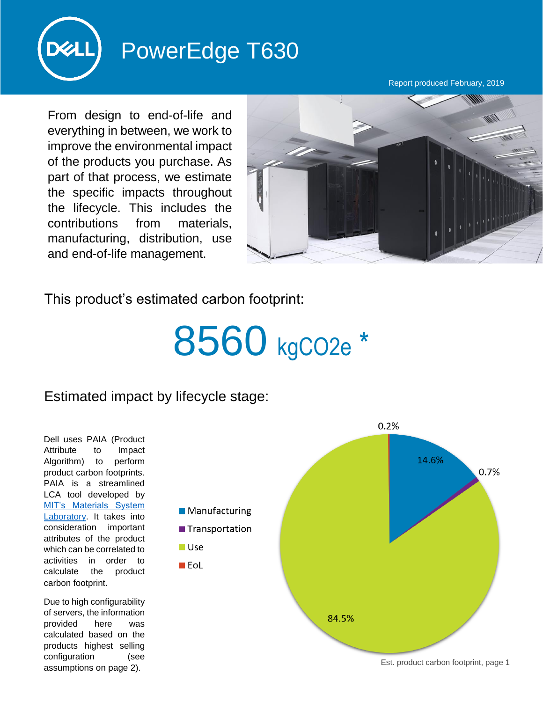

## PowerEdge T630

Report produced February, 2019

From design to end-of-life and everything in between, we work to improve the environmental impact of the products you purchase. As part of that process, we estimate the specific impacts throughout the lifecycle. This includes the contributions from materials, manufacturing, distribution, use and end-of-life management.



This product's estimated carbon footprint:

## 8560 kgCO2e \*

## Estimated impact by lifecycle stage:

Dell uses PAIA (Product Attribute to Impact Algorithm) to perform product carbon footprints. PAIA is a streamlined LCA tool developed by [MIT's Materials System](http://msl.mit.edu/projects/paia/main.html)  [Laboratory.](http://msl.mit.edu/projects/paia/main.html) It takes into consideration important attributes of the product which can be correlated to activities in order to calculate the product carbon footprint.

Due to high configurability of servers, the information provided here was calculated based on the products highest selling configuration (see assumptions on page 2).